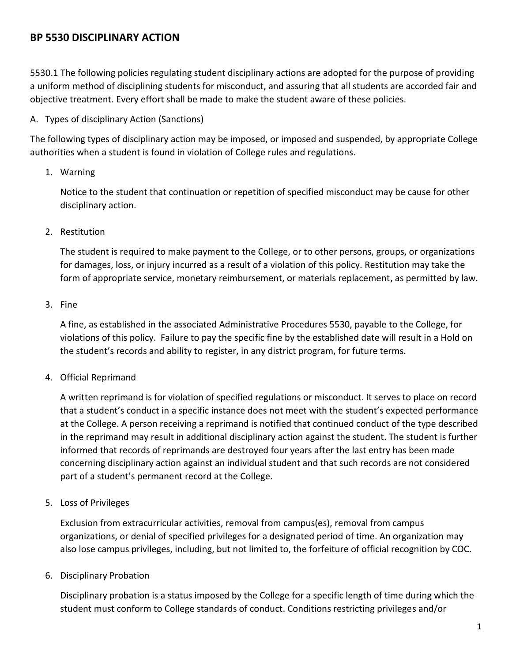# **BP 5530 DISCIPLINARY ACTION**

5530.1 The following policies regulating student disciplinary actions are adopted for the purpose of providing a uniform method of disciplining students for misconduct, and assuring that all students are accorded fair and objective treatment. Every effort shall be made to make the student aware of these policies.

#### A. Types of disciplinary Action (Sanctions)

The following types of disciplinary action may be imposed, or imposed and suspended, by appropriate College authorities when a student is found in violation of College rules and regulations.

## 1. Warning

Notice to the student that continuation or repetition of specified misconduct may be cause for other disciplinary action.

## 2. Restitution

The student is required to make payment to the College, or to other persons, groups, or organizations for damages, loss, or injury incurred as a result of a violation of this policy. Restitution may take the form of appropriate service, monetary reimbursement, or materials replacement, as permitted by law.

## 3. Fine

A fine, as established in the associated Administrative Procedures 5530, payable to the College, for violations of this policy. Failure to pay the specific fine by the established date will result in a Hold on the student's records and ability to register, in any district program, for future terms.

# 4. Official Reprimand

A written reprimand is for violation of specified regulations or misconduct. It serves to place on record that a student's conduct in a specific instance does not meet with the student's expected performance at the College. A person receiving a reprimand is notified that continued conduct of the type described in the reprimand may result in additional disciplinary action against the student. The student is further informed that records of reprimands are destroyed four years after the last entry has been made concerning disciplinary action against an individual student and that such records are not considered part of a student's permanent record at the College.

# 5. Loss of Privileges

Exclusion from extracurricular activities, removal from campus(es), removal from campus organizations, or denial of specified privileges for a designated period of time. An organization may also lose campus privileges, including, but not limited to, the forfeiture of official recognition by COC.

#### 6. Disciplinary Probation

Disciplinary probation is a status imposed by the College for a specific length of time during which the student must conform to College standards of conduct. Conditions restricting privileges and/or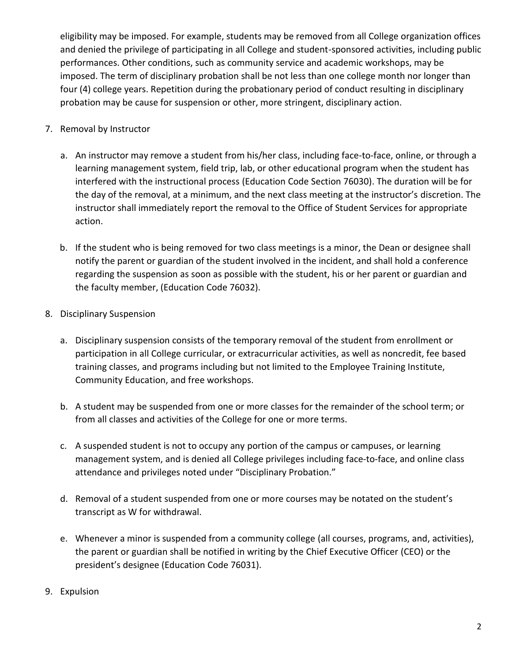eligibility may be imposed. For example, students may be removed from all College organization offices and denied the privilege of participating in all College and student-sponsored activities, including public performances. Other conditions, such as community service and academic workshops, may be imposed. The term of disciplinary probation shall be not less than one college month nor longer than four (4) college years. Repetition during the probationary period of conduct resulting in disciplinary probation may be cause for suspension or other, more stringent, disciplinary action.

- 7. Removal by Instructor
	- a. An instructor may remove a student from his/her class, including face-to-face, online, or through a learning management system, field trip, lab, or other educational program when the student has interfered with the instructional process (Education Code Section 76030). The duration will be for the day of the removal, at a minimum, and the next class meeting at the instructor's discretion. The instructor shall immediately report the removal to the Office of Student Services for appropriate action.
	- b. If the student who is being removed for two class meetings is a minor, the Dean or designee shall notify the parent or guardian of the student involved in the incident, and shall hold a conference regarding the suspension as soon as possible with the student, his or her parent or guardian and the faculty member, (Education Code 76032).
- 8. Disciplinary Suspension
	- a. Disciplinary suspension consists of the temporary removal of the student from enrollment or participation in all College curricular, or extracurricular activities, as well as noncredit, fee based training classes, and programs including but not limited to the Employee Training Institute, Community Education, and free workshops.
	- b. A student may be suspended from one or more classes for the remainder of the school term; or from all classes and activities of the College for one or more terms.
	- c. A suspended student is not to occupy any portion of the campus or campuses, or learning management system, and is denied all College privileges including face-to-face, and online class attendance and privileges noted under "Disciplinary Probation."
	- d. Removal of a student suspended from one or more courses may be notated on the student's transcript as W for withdrawal.
	- e. Whenever a minor is suspended from a community college (all courses, programs, and, activities), the parent or guardian shall be notified in writing by the Chief Executive Officer (CEO) or the president's designee (Education Code 76031).
- 9. Expulsion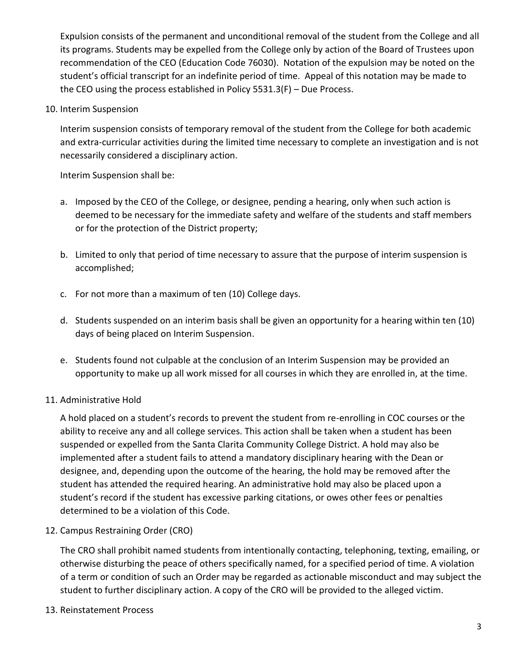Expulsion consists of the permanent and unconditional removal of the student from the College and all its programs. Students may be expelled from the College only by action of the Board of Trustees upon recommendation of the CEO (Education Code 76030). Notation of the expulsion may be noted on the student's official transcript for an indefinite period of time. Appeal of this notation may be made to the CEO using the process established in Policy 5531.3(F) – Due Process.

10. Interim Suspension

Interim suspension consists of temporary removal of the student from the College for both academic and extra-curricular activities during the limited time necessary to complete an investigation and is not necessarily considered a disciplinary action.

Interim Suspension shall be:

- a. Imposed by the CEO of the College, or designee, pending a hearing, only when such action is deemed to be necessary for the immediate safety and welfare of the students and staff members or for the protection of the District property;
- b. Limited to only that period of time necessary to assure that the purpose of interim suspension is accomplished;
- c. For not more than a maximum of ten (10) College days.
- d. Students suspended on an interim basis shall be given an opportunity for a hearing within ten (10) days of being placed on Interim Suspension.
- e. Students found not culpable at the conclusion of an Interim Suspension may be provided an opportunity to make up all work missed for all courses in which they are enrolled in, at the time.

#### 11. Administrative Hold

A hold placed on a student's records to prevent the student from re-enrolling in COC courses or the ability to receive any and all college services. This action shall be taken when a student has been suspended or expelled from the Santa Clarita Community College District. A hold may also be implemented after a student fails to attend a mandatory disciplinary hearing with the Dean or designee, and, depending upon the outcome of the hearing, the hold may be removed after the student has attended the required hearing. An administrative hold may also be placed upon a student's record if the student has excessive parking citations, or owes other fees or penalties determined to be a violation of this Code.

12. Campus Restraining Order (CRO)

The CRO shall prohibit named students from intentionally contacting, telephoning, texting, emailing, or otherwise disturbing the peace of others specifically named, for a specified period of time. A violation of a term or condition of such an Order may be regarded as actionable misconduct and may subject the student to further disciplinary action. A copy of the CRO will be provided to the alleged victim.

13. Reinstatement Process